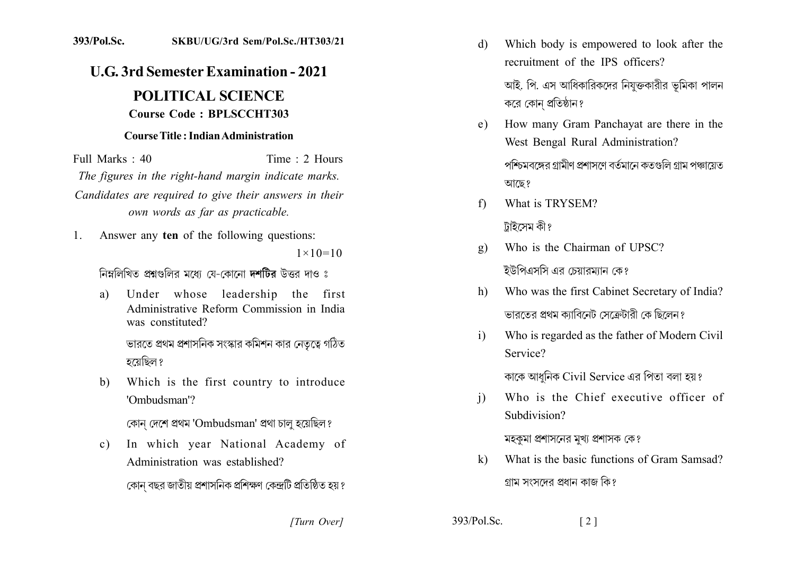## 393/Pol.Sc. SKBU/UG/3rd Sem/Pol.Sc./HT303/21

## **U.G. 3rd Semester Examination - 2021**

## **POLITICAL SCIENCE** Course Code: BPLSCCHT303

## **Course Title: Indian Administration**

Time  $\cdot$  2 Hours Full Marks  $\cdot$  40 The figures in the right-hand margin indicate marks. Candidates are required to give their answers in their own words as far as practicable.

Answer any ten of the following questions:  $1_{-}$  $1 \times 10 = 10$ 

নিম্নলিখিত প্রশ্নগুলির মধ্যে যে-কোনো **দশটির** উত্তর দাও ঃ

Under whose leadership the first a) Administrative Reform Commission in India was constituted? ভারতে প্রথম প্রশাসনিক সংস্কার কমিশন কার নেতৃত্বে গঠিত

হয়েছিল ?

Which is the first country to introduce b) 'Ombudsman'?

কোন দেশে প্ৰথম 'Ombudsman' প্ৰথা চালু হয়েছিল?

In which year National Academy of  $\mathbf{c}$ ) Administration was established? কোন বছর জাতীয় প্রশাসনিক প্রশিক্ষণ কেন্দ্রটি প্রতিষ্ঠিত হয় ?

Which body is empowered to look after the d) recruitment of the IPS officers? আই. পি. এস আধিকারিকদের নিযুক্তকারীর ভূমিকা পালন

করে কোন প্রতিষ্ঠান?

How many Gram Panchavat are there in the  $e)$ West Bengal Rural Administration? পশ্চিমবঙ্গের গ্রামীণ প্রশাসণে বর্তমানে কতগুলি গ্রাম পঞ্চায়েত

আছে?

What is TRYSEM?  $f$ 

টাইসেম কী ?

- Who is the Chairman of UPSC?  $\mathbf{g}$ ) ইউপিএসসি এর চেয়ারম্যান কে?
- Who was the first Cabinet Secretary of India?  $h$ ভারতের প্রথম ক্যাবিনেট সেক্রেটারী কে ছিলেন?
- Who is regarded as the father of Modern Civil  $\mathbf{i}$ Service?

কাকে আধুনিক Civil Service এর পিতা বলা হয়?

Who is the Chief executive officer of  $\mathbf{i}$ Subdivision?

মহকমা প্রশাসনের মখ্য প্রশাসক কে?

What is the basic functions of Gram Samsad?  $\bf k$ গ্রাম সংসদের প্রধান কাজ কি?

[Turn Over]

 $393/P<sub>ol</sub>$  Sc

 $\lceil 2 \rceil$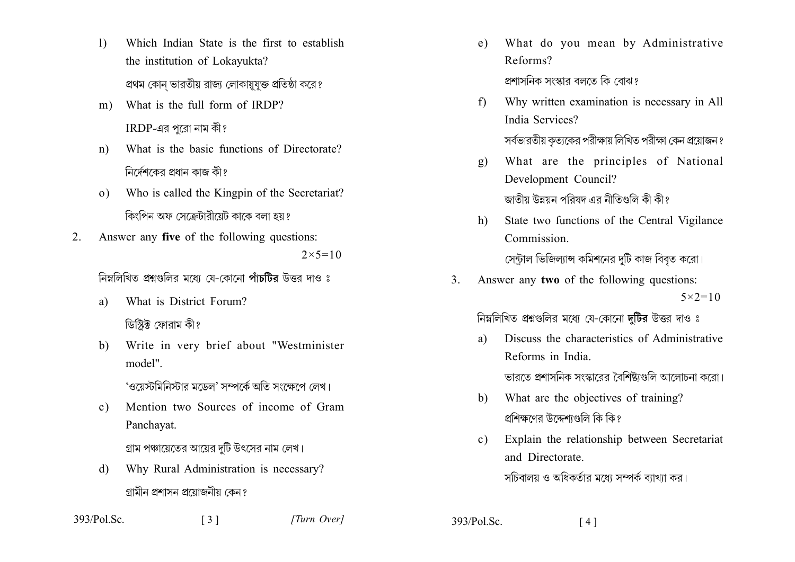- $\left| \right|$ Which Indian State is the first to establish the institution of Lokayukta? প্রথম কোন ভারতীয় রাজ্য লোকায়যক্ত প্রতিষ্ঠা করে?
- What is the full form of IRDP?  $m$ ) IRDP-এর পরো নাম কী?
- What is the basic functions of Directorate?  $n)$ নিৰ্দেশকেব প্ৰধান কাজ কী প
- Who is called the Kingpin of the Secretariat?  $\Omega$ ) কিংপিন অফ সেক্রেটাবীয়েট কাকে বলা হয় ঃ
- Answer any five of the following questions:  $2^{\circ}$  $2 \times 5 = 10$

নিম্নলিখিত প্রশ্নগুলির মধ্যে যে-কোনো পাঁচটির উত্তর দাও ঃ

- What is District Forum? a) ডিস্টিক্ট ফোরাম কী?
- Write in very brief about "Westminister  $h$ model"

'ওয়েস্টমিনিস্টার মডেল' সম্পর্কে অতি সংক্ষেপে লেখ।

Mention two Sources of income of Gram  $c)$ Panchayat.

গ্রাম পঞ্চায়েতের আয়ের দটি উৎসের নাম লেখ।

Why Rural Administration is necessary? d) গামীন প্ৰশাসন প্ৰযোজনীয় কেন ং

- What do you mean by Administrative  $e)$ Reforms? প্রশাসনিক সংস্কার বলতে কি বোঝ?
- Why written examination is necessary in All  $f$ India Services?

সর্বভারতীয় কৃত্যকের পরীক্ষায় লিখিত পরীক্ষা কেন প্রয়োজন ?

What are the principles of National  $\mathbf{g}$ ) Development Council?

জাতীয় উন্নয়ন পবিষদ এব নীতিগুলি কী কী গ

State two functions of the Central Vigilance  $h)$ Commission.

সেন্টাল ভিজিল্যান্স কমিশনের দটি কাজ বিবত করো।

Answer any two of the following questions:  $\mathcal{E}$  $5 \times 2 = 10$ 

নিম্নলিখিত প্রশ্নগুলির মধ্যে যে-কোনো দটির উত্তর দাও ঃ

- Discuss the characteristics of Administrative  $\mathbf{a}$ Reforms in India ভারতে প্রশাসনিক সংস্কারের বৈশিষ্ট্যগুলি আলোচনা করো।
- What are the objectives of training?  $b)$ প্রশিক্ষণের উদ্দেশগুলি কি কি?
- Explain the relationship between Secretariat  $c)$ and Directorate

সচিবালয় ও অধিকর্তার মধ্যে সম্পর্ক ব্যাখ্যা কর।

| 393/Pol.Sc. | $\lceil 3 \rceil$ |
|-------------|-------------------|
|-------------|-------------------|

 $393/P<sub>o</sub>$ l Sc